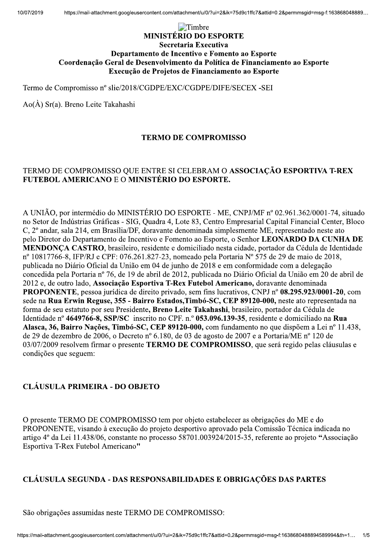# \$%&'() \*+,+-./0+123124-510.4 -67869:8;:24<67=9;>: 36?:89:@6A9B2C62+A76A9;>B262DB@6A9B2:B24E?B896 FBB8C6A:GHB2I68:J2C6236E6A>BJ>;@6A9B2C:25BJK9;7:2C62D;A:A7;:@6A9B2:B24E?B896 4<67=GHB2C6258BL69BE2C62D;A:A7;:@6A9B2:B24E?B896 \$)(&MNO)NPM&Q(M&%RRMNSTNRU%)VWXYZVP[\]^V^\_PVP[\]^V\`a^Vb^P^\_Ncb^` dMefgNb(ehgiNj()SMNk)%l)N\$hmhnhRn%

### TERMO DE COMPROMISSO

## TERMO DE COMPROMISSO QUE ENTRE SI CELEBRAM O ASSOCIAÇÃO ESPORTIVA T-REX FUTEBOL AMERICANO E O MINISTÉRIO DO ESPORTE.

dong NSt UNIÃO, por intermédio do MINISTÉRIO DO ESPORTE - ME, CNPJ/MF nº 02.961.362/0001-74, situado no Setor de Indústrias Gráficas - SIG, Quadra 4, Lote 83, Centro Empresarial Capital Financial Center, Bloco C, 2<sup>°</sup> andar, sala 214, em Brasília/DF, doravante denominada simplesmente ME, representado neste ato pelo Diretor do Departamento de Incentivo e Fomento ao Esporte, o Senhor **LEONARDO DA CUNHA DE EXERCIÓN MERICANO F:** O MINISTERIO DO ESPORTE-ME, CRPI/MF nº 02.961.3620001-74, situado no Sero de Intériorio do MINISTERIO DO ESPORTE-ME, CNPI/MF nº 02.961.3620001-74, situado no Sero de Intériorio Grand A, Lore 83, Cen

## CLÁUSULA PRIMEIRA - DO OBJETO

OS/O//2009 resolvem inmar o presente TERMO DE COMPROMISSO, que sera regiuo pelas clausias e<br>condições que seguem:<br>CLÁUSULA PRIMEIRA - DO OBJETO<br>O presente TERMO DE COMPROMISSO tem por objeto estabelecer as obrigações do ME artigo 4° da Let 11.458/06, constante no processo 58/01.005924/20<br>Esportiva T-Rex Futebol Americano"<br>CLÁUSULA SEGUNDA - DAS RESPONSABILIDADES E O<br>São obrigações assumidas neste TERMO DE COMPROMISSO:<br>https://mail-attachment

## CLÁUSULA SEGUNDA - DAS RESPONSABILIDADES E OBRIGAÇÕES DAS PARTES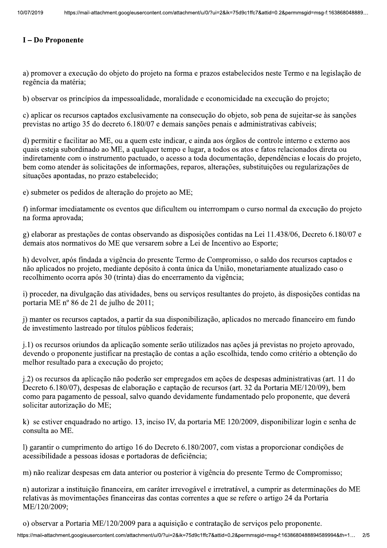## I - Do Proponente

a) promover a execução do objeto do projeto na forma e prazos estabelecidos neste Termo e na legislação de regência da matéria;

b) observar os princípios da impessoalidade, moralidade e economicidade na execução do projeto;

c) aplicar os recursos captados exclusivamente na consecução do objeto, sob pena de sujeitar-se às sanções previstas no artigo 35 do decreto 6.180/07 e demais sanções penais e administrativas cabíveis;

d) permitir e facilitar ao ME, ou a quem este indicar, e ainda aos órgãos de controle interno e externo aos quais esteja subordinado ao ME, a qualquer tempo e lugar, a todos os atos e fatos relacionados direta ou indiretamente com o instrumento pactuado, o acesso a toda documentação, dependências e locais do projeto, bem como atender às solicitações de informações, reparos, alterações, substituições ou regularizações de situações apontadas, no prazo estabelecido;

e) submeter os pedidos de alteração do projeto ao ME;

f) informar imediatamente os eventos que dificultem ou interrompam o curso normal da execução do projeto na forma aprovada;

g) elaborar as prestações de contas observando as disposições contidas na Lei 11.438/06, Decreto 6.180/07 e demais atos normativos do ME que versarem sobre a Lei de Incentivo ao Esporte;

h) devolver, após findada a vigência do presente Termo de Compromisso, o saldo dos recursos captados e não aplicados no projeto, mediante depósito à conta única da União, monetariamente atualizado caso o recolhimento ocorra após 30 (trinta) dias do encerramento da vigência;

i) proceder, na divulgação das atividades, bens ou serviços resultantes do projeto, às disposições contidas na portaria ME nº 86 de 21 de julho de 2011;

i) manter os recursos captados, a partir da sua disponibilização, aplicados no mercado financeiro em fundo de investimento lastreado por títulos públicos federais;

j.1) os recursos oriundos da aplicação somente serão utilizados nas ações já previstas no projeto aprovado, devendo o proponente justificar na prestação de contas a ação escolhida, tendo como critério a obtenção do melhor resultado para a execução do projeto;

j.2) os recursos da aplicação não poderão ser empregados em ações de despesas administrativas (art. 11 do Decreto 6.180/07), despesas de elaboração e captação de recursos (art. 32 da Portaria ME/120/09), bem como para pagamento de pessoal, salvo quando devidamente fundamentado pelo proponente, que deverá solicitar autorização do ME;

k) se estiver enquadrado no artigo. 13, inciso IV, da portaria ME 120/2009, disponibilizar login e senha de consulta ao ME.

1) garantir o cumprimento do artigo 16 do Decreto 6.180/2007, com vistas a proporcionar condições de acessibilidade a pessoas idosas e portadoras de deficiência;

m) não realizar despesas em data anterior ou posterior à vigência do presente Termo de Compromisso;

n) autorizar a instituição financeira, em caráter irrevogável e irretratável, a cumprir as determinações do ME relativas às movimentações financeiras das contas correntes a que se refere o artigo 24 da Portaria ME/120/2009;

o) observar a Portaria ME/120/2009 para a aquisição e contratação de serviços pelo proponente.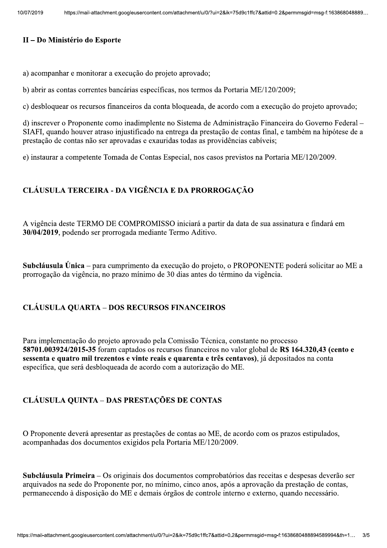### II - Do Ministério do Esporte

a) acompanhar e monitorar a execução do projeto aprovado;

b) abrir as contas correntes bancárias específicas, nos termos da Portaria ME/120/2009;

c) desbloquear os recursos financeiros da conta bloqueada, de acordo com a execução do projeto aprovado;

d) inscrever o Proponente como inadimplente no Sistema de Administração Financeira do Governo Federal – SIAFI, quando houver atraso injustificado na entrega da prestação de contas final, e também na hipótese de a prestação de contas não ser aprovadas e exauridas todas as providências cabíveis;

e) instaurar a competente Tomada de Contas Especial, nos casos previstos na Portaria ME/120/2009.

# CLÁUSULA TERCEIRA - DA VIGÊNCIA E DA PRORROGAÇÃO

A vigência deste TERMO DE COMPROMISSO iniciará a partir da data de sua assinatura e findará em 30/04/2019, podendo ser prorrogada mediante Termo Aditivo.

Subcláusula Única – para cumprimento da execução do projeto, o PROPONENTE poderá solicitar ao ME a prorrogação da vigência, no prazo mínimo de 30 dias antes do término da vigência.

### **CLÁUSULA QUARTA - DOS RECURSOS FINANCEIROS**

Para implementação do projeto aprovado pela Comissão Técnica, constante no processo 58701.003924/2015-35 foram captados os recursos financeiros no valor global de R\$ 164.320,43 (cento e sessenta e quatro mil trezentos e vinte reais e quarenta e três centavos), já depositados na conta específica, que será desbloqueada de acordo com a autorização do ME.

## **CLÁUSULA QUINTA - DAS PRESTAÇÕES DE CONTAS**

O Proponente deverá apresentar as prestações de contas ao ME, de acordo com os prazos estipulados, acompanhadas dos documentos exigidos pela Portaria ME/120/2009.

Subcláusula Primeira – Os originais dos documentos comprobatórios das receitas e despesas deverão ser arquivados na sede do Proponente por, no mínimo, cinco anos, após a aprovação da prestação de contas, permanecendo à disposição do ME e demais órgãos de controle interno e externo, quando necessário.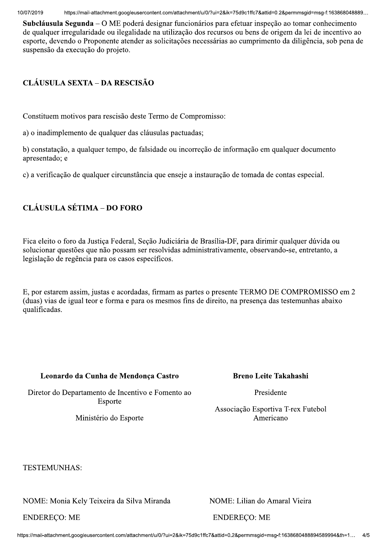$10/07/20$ 

2019 nttps://mail-attachment.googieusercontent.com/attachment/u/0/ ?ul=2&ik=75d9c1ific7&attid=0.2&permmsgid=msg-f

ntes://mail-attachment.googleusercontent.com/attachment/u/0/?ui=28ik=75d9c1ffc78attid=0.2&permmsgid=msg-f.163868048889...<br> **Subcláusula Segunda** – O ME poderá designar funcionários para efetuar inspeção ao tomar conhecimen

# $CLÁUSULA SEXTA-DA RESCISÃO$

Constituem motivos para rescisão deste Termo de Compromisso:

a) o inadimplemento de qualquer das cláusulas pactuadas;

b) constatação, a qualquer tempo, de falsidade ou incorreção de informação em qualquer documento apresentado; e

c) a verificação de qualquer circunstância que enseje a instauração de tomada de contas especial.

# CLÁUSULA SÉTIMA – DO FORO

Fica eleito o foro da Justica Federal, Secão Judiciária de Brasília-DF, para dirimir qualquer dúvida ou solucionar questões que não possam ser resolvidas administrativamente, observando-se, entretanto, a legislação de regência para os casos específicos.

E, por estarem assim, justas e acordadas, firmam as partes o presente TERMO DE COMPROMISSO em 2 (duas) vias de igual teor e forma e para os mesmos fins de direito, na presença das testemunhas abaixo qualificadas.

# Leonardo da Cunha de Mendonça Castro

Diretor do Departamento de Incentivo e Fomento ao Esporte

Ministério do Esporte

# Breno Leite Takahashi

Presidente

Associação Esportiva T-rex Futebol Americano

TESTEMUNHAS:

34589 NOME: Monia Kely Teixeira da Silva Miranda 520 NOME: Lilian do Amaral Vieira

ENDERECO: ME
ENDERECO: ME
ENDERECO: ME